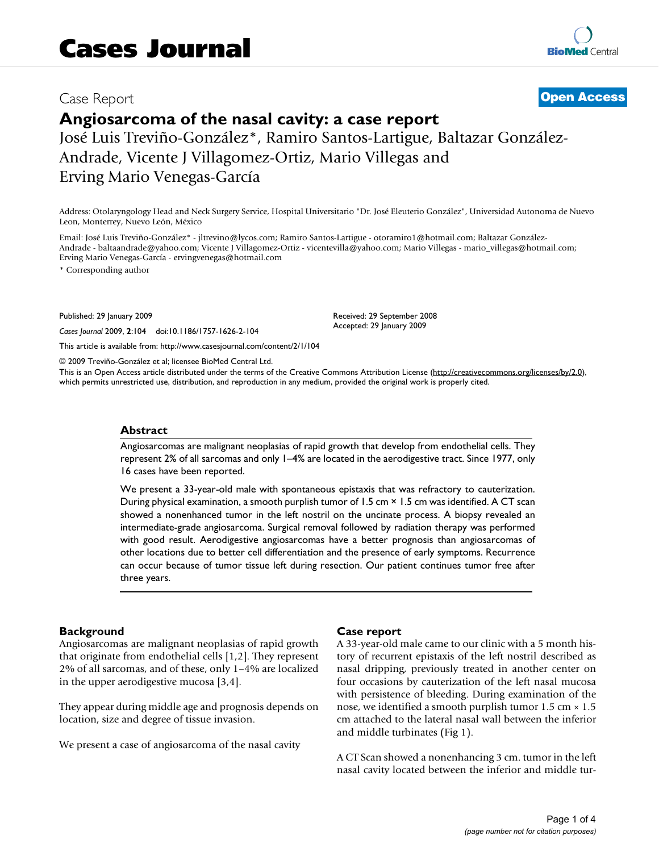# Case Report **[Open Access](http://www.biomedcentral.com/info/about/charter/)**

# **Angiosarcoma of the nasal cavity: a case report**

José Luis Treviño-González\*, Ramiro Santos-Lartigue, Baltazar González-Andrade, Vicente J Villagomez-Ortiz, Mario Villegas and Erving Mario Venegas-García

Address: Otolaryngology Head and Neck Surgery Service, Hospital Universitario "Dr. José Eleuterio González", Universidad Autonoma de Nuevo Leon, Monterrey, Nuevo León, México

Email: José Luis Treviño-González\* - jltrevino@lycos.com; Ramiro Santos-Lartigue - otoramiro1@hotmail.com; Baltazar González-Andrade - baltaandrade@yahoo.com; Vicente J Villagomez-Ortiz - vicentevilla@yahoo.com; Mario Villegas - mario\_villegas@hotmail.com; Erving Mario Venegas-García - ervingvenegas@hotmail.com

\* Corresponding author

Published: 29 January 2009

*Cases Journal* 2009, **2**:104 doi:10.1186/1757-1626-2-104

[This article is available from: http://www.casesjournal.com/content/2/1/104](http://www.casesjournal.com/content/2/1/104)

© 2009 Treviño-González et al; licensee BioMed Central Ltd.

This is an Open Access article distributed under the terms of the Creative Commons Attribution License [\(http://creativecommons.org/licenses/by/2.0\)](http://creativecommons.org/licenses/by/2.0), which permits unrestricted use, distribution, and reproduction in any medium, provided the original work is properly cited.

Received: 29 September 2008 Accepted: 29 January 2009

## **Abstract**

Angiosarcomas are malignant neoplasias of rapid growth that develop from endothelial cells. They represent 2% of all sarcomas and only 1–4% are located in the aerodigestive tract. Since 1977, only 16 cases have been reported.

We present a 33-year-old male with spontaneous epistaxis that was refractory to cauterization. During physical examination, a smooth purplish tumor of 1.5 cm × 1.5 cm was identified. A CT scan showed a nonenhanced tumor in the left nostril on the uncinate process. A biopsy revealed an intermediate-grade angiosarcoma. Surgical removal followed by radiation therapy was performed with good result. Aerodigestive angiosarcomas have a better prognosis than angiosarcomas of other locations due to better cell differentiation and the presence of early symptoms. Recurrence can occur because of tumor tissue left during resection. Our patient continues tumor free after three years.

# **Background**

Angiosarcomas are malignant neoplasias of rapid growth that originate from endothelial cells [1,2]. They represent 2% of all sarcomas, and of these, only 1–4% are localized in the upper aerodigestive mucosa [3,4].

They appear during middle age and prognosis depends on location, size and degree of tissue invasion.

We present a case of angiosarcoma of the nasal cavity

# **Case report**

A 33-year-old male came to our clinic with a 5 month history of recurrent epistaxis of the left nostril described as nasal dripping, previously treated in another center on four occasions by cauterization of the left nasal mucosa with persistence of bleeding. During examination of the nose, we identified a smooth purplish tumor  $1.5 \text{ cm} \times 1.5$ cm attached to the lateral nasal wall between the inferior and middle turbinates (Fig 1).

A CT Scan showed a nonenhancing 3 cm. tumor in the left nasal cavity located between the inferior and middle tur-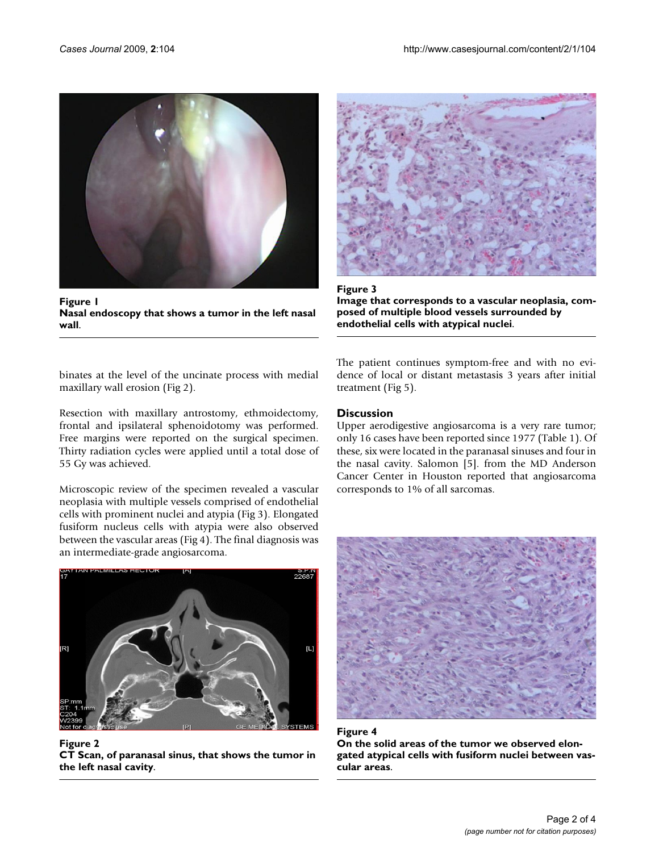

**Figure 1 Nasal endoscopy that shows a tumor in the left nasal wall**.



Figure 3 **Image that corresponds to a vascular neoplasia, composed of multiple blood vessels surrounded by endothelial cells with atypical nuclei**.

binates at the level of the uncinate process with medial maxillary wall erosion (Fig 2).

Resection with maxillary antrostomy, ethmoidectomy, frontal and ipsilateral sphenoidotomy was performed. Free margins were reported on the surgical specimen. Thirty radiation cycles were applied until a total dose of 55 Gy was achieved.

Microscopic review of the specimen revealed a vascular neoplasia with multiple vessels comprised of endothelial cells with prominent nuclei and atypia (Fig 3). Elongated fusiform nucleus cells with atypia were also observed between the vascular areas (Fig 4). The final diagnosis was an intermediate-grade angiosarcoma.



Figure 2 **CT Scan, of paranasal sinus, that shows the tumor in the left nasal cavity**.

The patient continues symptom-free and with no evidence of local or distant metastasis 3 years after initial treatment (Fig 5).

# **Discussion**

Upper aerodigestive angiosarcoma is a very rare tumor; only 16 cases have been reported since 1977 (Table 1). Of these, six were located in the paranasal sinuses and four in the nasal cavity. Salomon [5]. from the MD Anderson Cancer Center in Houston reported that angiosarcoma corresponds to 1% of all sarcomas.



Figure 4 **On the solid areas of the tumor we observed elongated atypical cells with fusiform nuclei between vascular areas**.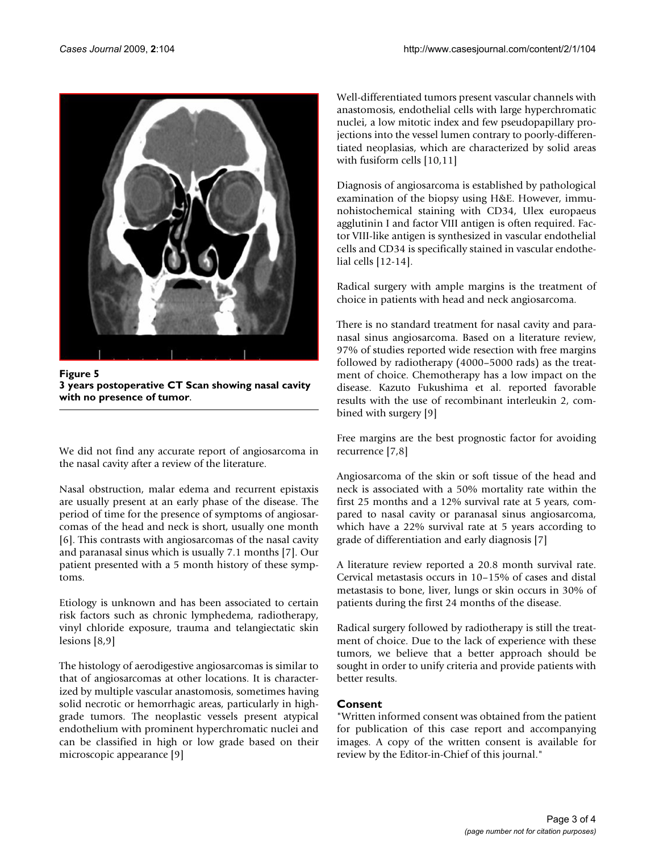

**Figure 5 3 years postoperative CT Scan showing nasal cavity with no presence of tumor**.

We did not find any accurate report of angiosarcoma in the nasal cavity after a review of the literature.

Nasal obstruction, malar edema and recurrent epistaxis are usually present at an early phase of the disease. The period of time for the presence of symptoms of angiosarcomas of the head and neck is short, usually one month [6]. This contrasts with angiosarcomas of the nasal cavity and paranasal sinus which is usually 7.1 months [7]. Our patient presented with a 5 month history of these symptoms.

Etiology is unknown and has been associated to certain risk factors such as chronic lymphedema, radiotherapy, vinyl chloride exposure, trauma and telangiectatic skin lesions [8,9]

The histology of aerodigestive angiosarcomas is similar to that of angiosarcomas at other locations. It is characterized by multiple vascular anastomosis, sometimes having solid necrotic or hemorrhagic areas, particularly in highgrade tumors. The neoplastic vessels present atypical endothelium with prominent hyperchromatic nuclei and can be classified in high or low grade based on their microscopic appearance [9]

Well-differentiated tumors present vascular channels with anastomosis, endothelial cells with large hyperchromatic nuclei, a low mitotic index and few pseudopapillary projections into the vessel lumen contrary to poorly-differentiated neoplasias, which are characterized by solid areas with fusiform cells [10,11]

Diagnosis of angiosarcoma is established by pathological examination of the biopsy using H&E. However, immunohistochemical staining with CD34, Ulex europaeus agglutinin I and factor VIII antigen is often required. Factor VIII-like antigen is synthesized in vascular endothelial cells and CD34 is specifically stained in vascular endothelial cells [12-14].

Radical surgery with ample margins is the treatment of choice in patients with head and neck angiosarcoma.

There is no standard treatment for nasal cavity and paranasal sinus angiosarcoma. Based on a literature review, 97% of studies reported wide resection with free margins followed by radiotherapy (4000–5000 rads) as the treatment of choice. Chemotherapy has a low impact on the disease. Kazuto Fukushima et al. reported favorable results with the use of recombinant interleukin 2, combined with surgery [9]

Free margins are the best prognostic factor for avoiding recurrence [7,8]

Angiosarcoma of the skin or soft tissue of the head and neck is associated with a 50% mortality rate within the first 25 months and a 12% survival rate at 5 years, compared to nasal cavity or paranasal sinus angiosarcoma, which have a 22% survival rate at 5 years according to grade of differentiation and early diagnosis [7]

A literature review reported a 20.8 month survival rate. Cervical metastasis occurs in 10–15% of cases and distal metastasis to bone, liver, lungs or skin occurs in 30% of patients during the first 24 months of the disease.

Radical surgery followed by radiotherapy is still the treatment of choice. Due to the lack of experience with these tumors, we believe that a better approach should be sought in order to unify criteria and provide patients with better results.

# **Consent**

"Written informed consent was obtained from the patient for publication of this case report and accompanying images. A copy of the written consent is available for review by the Editor-in-Chief of this journal."